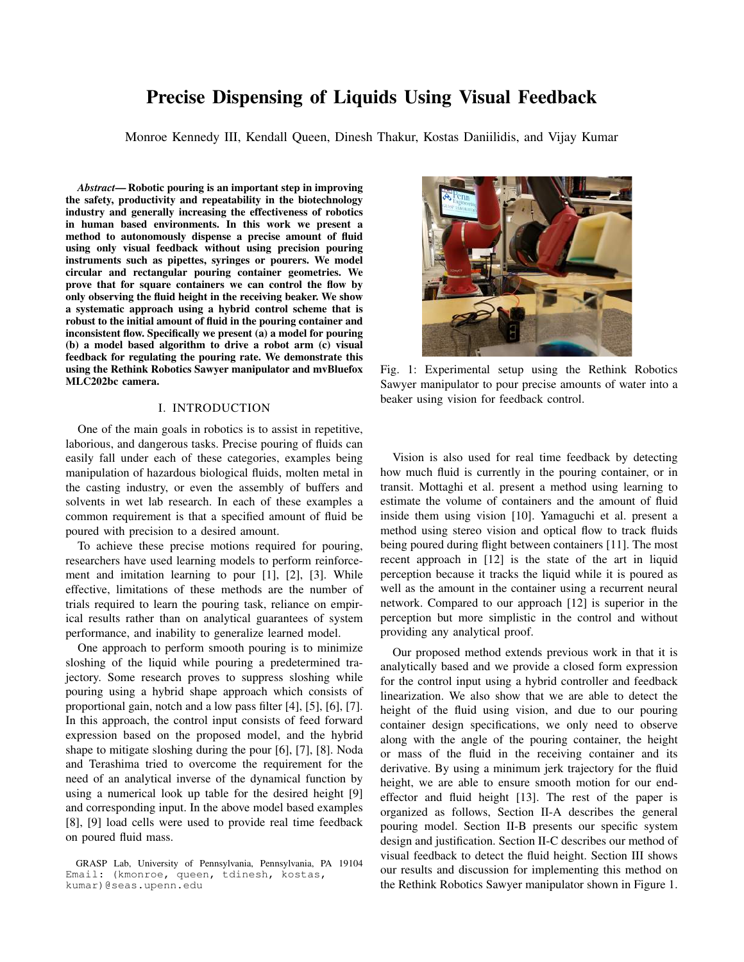# **Precise Dispensing of Liquids Using Visual Feedback**

Monroe Kennedy III, Kendall Queen, Dinesh Thakur, Kostas Daniilidis, and Vijay Kumar

**Abstract—Robotic pouring is an important step in improving** the safety, productivity and repeatability in the biotechnology industry and generally increasing the effectiveness of robotics in human based environments. In this work we present a method to autonomously dispense a precise amount of fluid using only visual feedback without using precision pouring instruments such as pipettes, syringes or pourers. We model circular and rectangular pouring container geometries. We prove that for square containers we can control the flow by only observing the fluid height in the receiving beaker. We show a systematic approach using a hybrid control scheme that is robust to the initial amount of fluid in the pouring container and inconsistent flow. Specifically we present (a) a model for pouring (b) a model based algorithm to drive a robot arm (c) visual feedback for regulating the pouring rate. We demonstrate this using the Rethink Robotics Sawyer manipulator and myBluefox MLC202bc camera.

## I. INTRODUCTION

One of the main goals in robotics is to assist in repetitive, laborious, and dangerous tasks. Precise pouring of fluids can easily fall under each of these categories, examples being manipulation of hazardous biological fluids, molten metal in the casting industry, or even the assembly of buffers and solvents in wet lab research. In each of these examples a common requirement is that a specified amount of fluid be poured with precision to a desired amount.

To achieve these precise motions required for pouring, researchers have used learning models to perform reinforcement and imitation learning to pour [1], [2], [3]. While effective, limitations of these methods are the number of trials required to learn the pouring task, reliance on empirical results rather than on analytical guarantees of system performance, and inability to generalize learned model.

One approach to perform smooth pouring is to minimize sloshing of the liquid while pouring a predetermined trajectory. Some research proves to suppress sloshing while pouring using a hybrid shape approach which consists of proportional gain, notch and a low pass filter [4], [5], [6], [7]. In this approach, the control input consists of feed forward expression based on the proposed model, and the hybrid shape to mitigate sloshing during the pour [6], [7], [8]. Noda and Terashima tried to overcome the requirement for the need of an analytical inverse of the dynamical function by using a numerical look up table for the desired height [9] and corresponding input. In the above model based examples [8], [9] load cells were used to provide real time feedback on poured fluid mass.



Fig. 1: Experimental setup using the Rethink Robotics Sawyer manipulator to pour precise amounts of water into a beaker using vision for feedback control.

Vision is also used for real time feedback by detecting how much fluid is currently in the pouring container, or in transit. Mottaghi et al. present a method using learning to estimate the volume of containers and the amount of fluid inside them using vision [10]. Yamaguchi et al. present a method using stereo vision and optical flow to track fluids being poured during flight between containers [11]. The most recent approach in [12] is the state of the art in liquid perception because it tracks the liquid while it is poured as well as the amount in the container using a recurrent neural network. Compared to our approach [12] is superior in the perception but more simplistic in the control and without providing any analytical proof.

Our proposed method extends previous work in that it is analytically based and we provide a closed form expression for the control input using a hybrid controller and feedback linearization. We also show that we are able to detect the height of the fluid using vision, and due to our pouring container design specifications, we only need to observe along with the angle of the pouring container, the height or mass of the fluid in the receiving container and its derivative. By using a minimum jerk trajectory for the fluid height, we are able to ensure smooth motion for our endeffector and fluid height [13]. The rest of the paper is organized as follows, Section II-A describes the general pouring model. Section II-B presents our specific system design and justification. Section II-C describes our method of visual feedback to detect the fluid height. Section III shows our results and discussion for implementing this method on the Rethink Robotics Sawyer manipulator shown in Figure 1.

GRASP Lab, University of Pennsylvania, Pennsylvania, PA 19104 Email: (kmonroe, queen, tdinesh, kostas, kumar)@seas.upenn.edu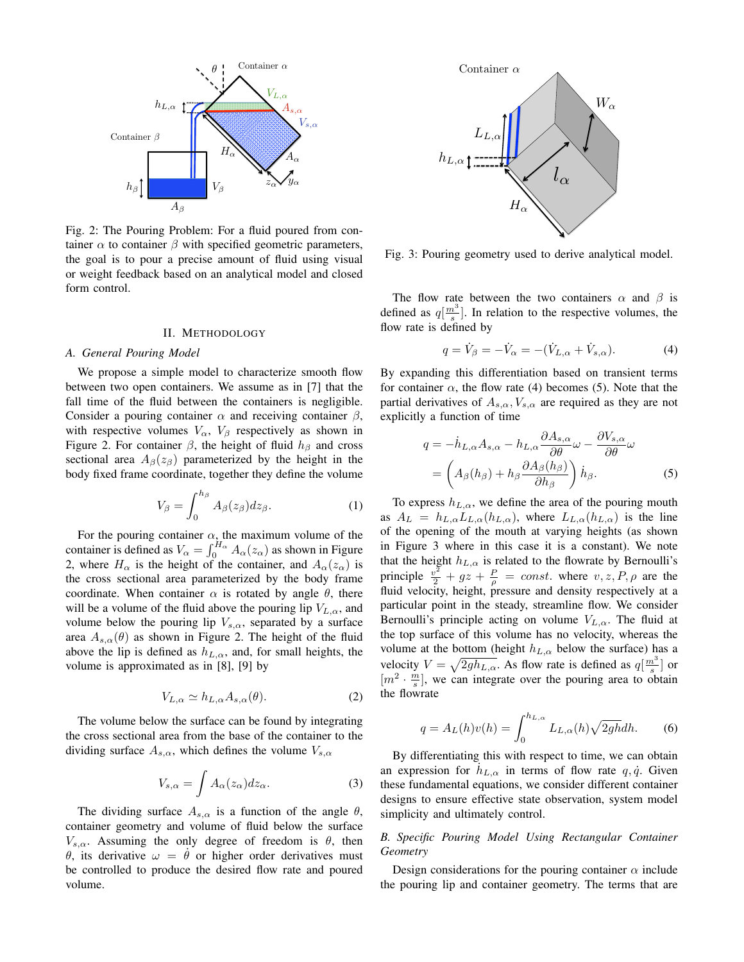

Fig. 2: The Pouring Problem: For a fluid poured from container  $\alpha$  to container  $\beta$  with specified geometric parameters, the goal is to pour a precise amount of fluid using visual or weight feedback based on an analytical model and closed form control.

#### II. METHODOLOGY

#### A. General Pouring Model

We propose a simple model to characterize smooth flow between two open containers. We assume as in [7] that the fall time of the fluid between the containers is negligible. Consider a pouring container  $\alpha$  and receiving container  $\beta$ , with respective volumes  $V_{\alpha}$ ,  $V_{\beta}$  respectively as shown in Figure 2. For container  $\beta$ , the height of fluid  $h_{\beta}$  and cross sectional area  $A_{\beta}(z_{\beta})$  parameterized by the height in the body fixed frame coordinate, together they define the volume

$$
V_{\beta} = \int_0^{h_{\beta}} A_{\beta}(z_{\beta}) dz_{\beta}.
$$
 (1)

For the pouring container  $\alpha$ , the maximum volume of the container is defined as  $V_{\alpha} = \int_0^{H_{\alpha}} A_{\alpha}(z_{\alpha})$  as shown in Figure 2, where  $H_{\alpha}$  is the height of the container, and  $A_{\alpha}(z_{\alpha})$  is the cross sectional area parameterized by the body frame coordinate. When container  $\alpha$  is rotated by angle  $\theta$ , there will be a volume of the fluid above the pouring lip  $V_{L,\alpha}$ , and volume below the pouring lip  $V_{s,\alpha}$ , separated by a surface area  $A_{s,\alpha}(\theta)$  as shown in Figure 2. The height of the fluid above the lip is defined as  $h_{L,\alpha}$ , and, for small heights, the volume is approximated as in [8], [9] by

$$
V_{L,\alpha} \simeq h_{L,\alpha} A_{s,\alpha}(\theta). \tag{2}
$$

The volume below the surface can be found by integrating the cross sectional area from the base of the container to the dividing surface  $A_{s,\alpha}$ , which defines the volume  $V_{s,\alpha}$ 

$$
V_{s,\alpha} = \int A_{\alpha}(z_{\alpha}) dz_{\alpha}.
$$
 (3)

The dividing surface  $A_{s,\alpha}$  is a function of the angle  $\theta$ , container geometry and volume of fluid below the surface  $V_{s,\alpha}$ . Assuming the only degree of freedom is  $\theta$ , then  $\theta$ , its derivative  $\omega = \dot{\theta}$  or higher order derivatives must be controlled to produce the desired flow rate and poured volume.



Fig. 3: Pouring geometry used to derive analytical model.

The flow rate between the two containers  $\alpha$  and  $\beta$  is defined as  $q\left[\frac{m^3}{s}\right]$ . In relation to the respective volumes, the flow rate is defined by

$$
q = \dot{V}_{\beta} = -\dot{V}_{\alpha} = -(\dot{V}_{L,\alpha} + \dot{V}_{s,\alpha}).
$$
 (4)

By expanding this differentiation based on transient terms for container  $\alpha$ , the flow rate (4) becomes (5). Note that the partial derivatives of  $A_{s,\alpha}, V_{s,\alpha}$  are required as they are not explicitly a function of time

$$
q = -\dot{h}_{L,\alpha} A_{s,\alpha} - h_{L,\alpha} \frac{\partial A_{s,\alpha}}{\partial \theta} \omega - \frac{\partial V_{s,\alpha}}{\partial \theta} \omega
$$

$$
= \left( A_{\beta}(h_{\beta}) + h_{\beta} \frac{\partial A_{\beta}(h_{\beta})}{\partial h_{\beta}} \right) \dot{h}_{\beta}.
$$
(5)

To express  $h_{L,\alpha}$ , we define the area of the pouring mouth as  $A_L = h_{L,\alpha} L_{L,\alpha}(h_{L,\alpha})$ , where  $L_{L,\alpha}(h_{L,\alpha})$  is the line of the opening of the mouth at varying heights (as shown in Figure 3 where in this case it is a constant). We note that the height  $h_{L,\alpha}$  is related to the flowrate by Bernoulli's principle  $\frac{v^2}{2} + gz + \frac{p}{\rho} = const.$  where  $v, z, P, \rho$  are the fluid velocity, height, pressure and density respectively at a particular point in the steady, streamline flow. We consider Bernoulli's principle acting on volume  $V_{L,\alpha}$ . The fluid at the top surface of this volume has no velocity, whereas the volume at the bottom (height  $h_{L,\alpha}$  below the surface) has a velocity  $V = \sqrt{2gh_{L,\alpha}}$ . As flow rate is defined as  $q[\frac{m\delta}{s}]$  or  $[m^2 \cdot \frac{m}{s}]$ , we can integrate over the pouring area to obtain the flowrate

$$
q = A_L(h)v(h) = \int_0^{h_{L,\alpha}} L_{L,\alpha}(h)\sqrt{2gh}dh.
$$
 (6)

By differentiating this with respect to time, we can obtain an expression for  $h_{L,\alpha}$  in terms of flow rate  $q, \dot{q}$ . Given these fundamental equations, we consider different container designs to ensure effective state observation, system model simplicity and ultimately control.

# B. Specific Pouring Model Using Rectangular Container Geometry

Design considerations for the pouring container  $\alpha$  include the pouring lip and container geometry. The terms that are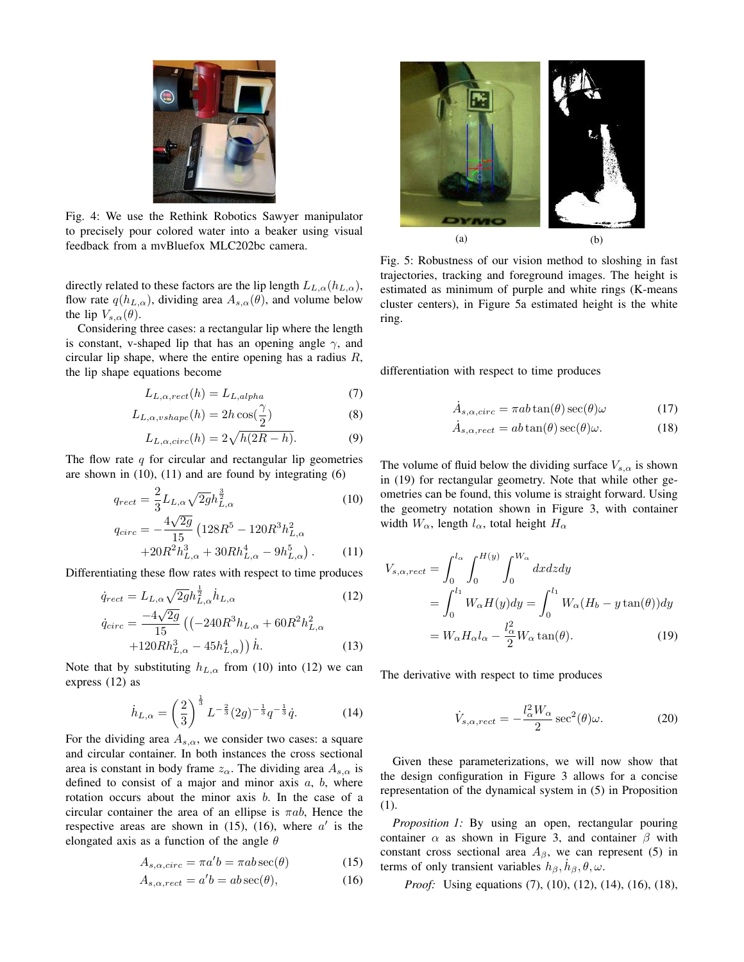

Fig. 4: We use the Rethink Robotics Sawyer manipulator to precisely pour colored water into a beaker using visual feedback from a mvBluefox MLC202bc camera.

directly related to these factors are the lip length  $L_{L,\alpha}(h_{L,\alpha})$ , flow rate  $q(h_{L,\alpha})$ , dividing area  $A_{s,\alpha}(\theta)$ , and volume below the lip  $V_{s,\alpha}(\theta)$ .

Considering three cases: a rectangular lip where the length is constant, v-shaped lip that has an opening angle  $\gamma$ , and circular lip shape, where the entire opening has a radius  $R$ , the lip shape equations become

$$
L_{L,\alpha,rect}(h) = L_{L,alpha} \tag{7}
$$

$$
L_{L,\alpha, vshape}(h) = 2h\cos(\frac{\gamma}{2})
$$
 (8)

$$
L_{L,\alpha,circ}(h) = 2\sqrt{h(2R - h)}.
$$
 (9)

The flow rate  $q$  for circular and rectangular lip geometries are shown in  $(10)$ ,  $(11)$  and are found by integrating  $(6)$ 

$$
q_{rect} = \frac{2}{3} L_{L,\alpha} \sqrt{2g} h_{L,\alpha}^{\frac{3}{2}} \tag{10}
$$

$$
q_{circ} = -\frac{4\sqrt{2g}}{15} \left( 128R^5 - 120R^3 h_{L,\alpha}^2 + 20R^2 h_{L,\alpha}^3 + 30Rh_{L,\alpha}^4 - 9h_{L,\alpha}^5 \right). \tag{11}
$$

Differentiating these flow rates with respect to time produces

$$
\dot{q}_{rect} = L_{L,\alpha} \sqrt{2gh} \frac{1}{2} \dot{h}_{L,\alpha} \dot{h}_{L,\alpha} \tag{12}
$$
\n
$$
-4\sqrt{2g} \dot{g}_{\alpha} \dot{h}_{L,\alpha} \dot{h}_{L,\alpha} \ddot{g}_{\alpha} \ddot{g}_{\alpha} \ddot{g}_{\alpha} \tag{12}
$$

$$
\dot{q}_{circ} = \frac{-\sqrt{2g}}{15} \left( \left( -240R^3 h_{L,\alpha} + 60R^2 h_{L,\alpha}^2 + 120Rh_{L,\alpha}^3 - 45h_{L,\alpha}^4 \right) \right) \dot{h}.
$$
\n(13)

Note that by substituting  $h_{L,\alpha}$  from (10) into (12) we can express  $(12)$  as

$$
\dot{h}_{L,\alpha} = \left(\frac{2}{3}\right)^{\frac{1}{3}} L^{-\frac{2}{3}} (2g)^{-\frac{1}{3}} q^{-\frac{1}{3}} \dot{q}.\tag{14}
$$

For the dividing area  $A_{s,\alpha}$ , we consider two cases: a square and circular container. In both instances the cross sectional area is constant in body frame  $z_{\alpha}$ . The dividing area  $A_{s,\alpha}$  is defined to consist of a major and minor axis  $a, b$ , where rotation occurs about the minor axis  $b$ . In the case of a circular container the area of an ellipse is  $\pi ab$ , Hence the respective areas are shown in (15), (16), where  $a'$  is the elongated axis as a function of the angle  $\theta$ 

$$
A_{s,\alpha,circ} = \pi a'b = \pi ab \sec(\theta)
$$
 (15)

$$
A_{s,\alpha,rect} = a'b = ab\sec(\theta),\tag{16}
$$



Fig. 5: Robustness of our vision method to sloshing in fast trajectories, tracking and foreground images. The height is estimated as minimum of purple and white rings (K-means cluster centers), in Figure 5a estimated height is the white ring.

differentiation with respect to time produces

$$
\dot{A}_{s,\alpha,circ} = \pi ab \tan(\theta) \sec(\theta)\omega \tag{17}
$$

$$
A_{s,\alpha,rect} = ab\tan(\theta)\sec(\theta)\omega.
$$
 (18)

The volume of fluid below the dividing surface  $V_{s,\alpha}$  is shown in (19) for rectangular geometry. Note that while other geometries can be found, this volume is straight forward. Using the geometry notation shown in Figure 3, with container width  $W_{\alpha}$ , length  $l_{\alpha}$ , total height  $H_{\alpha}$ 

$$
V_{s,\alpha,rect} = \int_0^{l_\alpha} \int_0^{H(y)} \int_0^{W_\alpha} dx dz dy
$$
  
= 
$$
\int_0^{l_1} W_\alpha H(y) dy = \int_0^{l_1} W_\alpha (H_b - y \tan(\theta)) dy
$$
  
= 
$$
W_\alpha H_\alpha l_\alpha - \frac{l_\alpha^2}{2} W_\alpha \tan(\theta).
$$
 (19)

The derivative with respect to time produces

$$
\dot{V}_{s,\alpha,rect} = -\frac{l_{\alpha}^2 W_{\alpha}}{2} \sec^2(\theta)\omega.
$$
 (20)

Given these parameterizations, we will now show that the design configuration in Figure 3 allows for a concise representation of the dynamical system in (5) in Proposition  $(1).$ 

*Proposition 1:* By using an open, rectangular pouring container  $\alpha$  as shown in Figure 3, and container  $\beta$  with constant cross sectional area  $A_{\beta}$ , we can represent (5) in terms of only transient variables  $h_{\beta}, h_{\beta}, \theta, \omega$ .

*Proof:* Using equations (7), (10), (12), (14), (16), (18),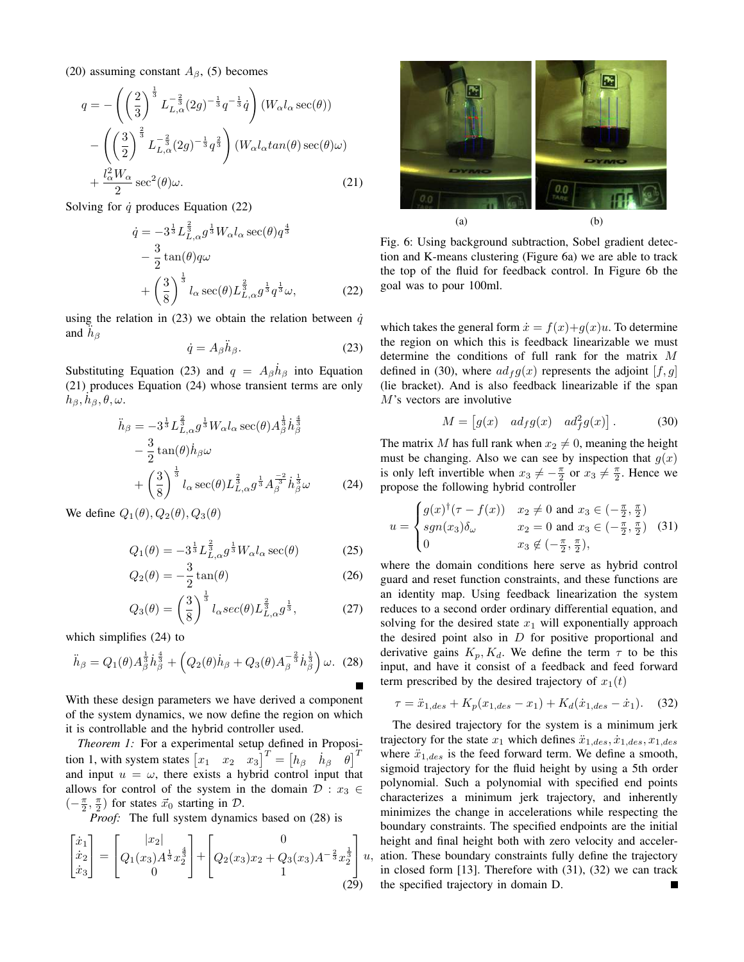(20) assuming constant  $A_{\beta}$ , (5) becomes

$$
q = -\left(\left(\frac{2}{3}\right)^{\frac{1}{3}} L_{L,\alpha}^{-\frac{2}{3}}(2g)^{-\frac{1}{3}} q^{-\frac{1}{3}} \dot{q}\right) (W_{\alpha} l_{\alpha} \sec(\theta))
$$

$$
-\left(\left(\frac{3}{2}\right)^{\frac{2}{3}} L_{L,\alpha}^{-\frac{2}{3}}(2g)^{-\frac{1}{3}} q^{\frac{2}{3}}\right) (W_{\alpha} l_{\alpha} tan(\theta) \sec(\theta)\omega)
$$

$$
+\frac{l_{\alpha}^{2} W_{\alpha}}{2} \sec^{2}(\theta)\omega.
$$
(21)

Solving for  $\dot{q}$  produces Equation (22)

$$
\dot{q} = -3^{\frac{1}{3}} L_{L,\alpha}^{\frac{2}{3}} g^{\frac{1}{3}} W_{\alpha} l_{\alpha} \sec(\theta) q^{\frac{4}{3}}
$$

$$
- \frac{3}{2} \tan(\theta) q \omega
$$

$$
+ \left(\frac{3}{8}\right)^{\frac{1}{3}} l_{\alpha} \sec(\theta) L_{L,\alpha}^{\frac{2}{3}} g^{\frac{1}{3}} q^{\frac{1}{3}} \omega,
$$
(22)

using the relation in (23) we obtain the relation between  $\dot{q}$ and  $h_{\beta}$ 

$$
\dot{q} = A_{\beta} h_{\beta}.
$$
 (23)

Substituting Equation (23) and  $q = A_{\beta}h_{\beta}$  into Equation (21) produces Equation (24) whose transient terms are only  $h_{\beta}, h_{\beta}, \theta, \omega.$ 

$$
\ddot{h}_{\beta} = -3^{\frac{1}{3}} L_{L,\alpha}^{\frac{2}{3}} g^{\frac{1}{3}} W_{\alpha} l_{\alpha} \sec(\theta) A_{\beta}^{\frac{1}{3}} \dot{h}_{\beta}^{\frac{4}{3}} \n- \frac{3}{2} \tan(\theta) \dot{h}_{\beta} \omega \n+ \left(\frac{3}{8}\right)^{\frac{1}{3}} l_{\alpha} \sec(\theta) L_{L,\alpha}^{\frac{2}{3}} g^{\frac{1}{3}} A_{\beta}^{\frac{-2}{3}} \dot{h}_{\beta}^{\frac{1}{3}} \omega
$$
\n(24)

We define  $Q_1(\theta), Q_2(\theta), Q_3(\theta)$ 

$$
Q_1(\theta) = -3^{\frac{1}{3}} L_{L,\alpha}^{\frac{2}{3}} g^{\frac{1}{3}} W_\alpha l_\alpha \sec(\theta)
$$
 (25)

$$
Q_2(\theta) = -\frac{3}{2}\tan(\theta) \tag{26}
$$

$$
Q_3(\theta) = \left(\frac{3}{8}\right)^{\frac{1}{3}} l_{\alpha} sec(\theta) L_{L,\alpha}^{\frac{2}{3}} g^{\frac{1}{3}},
$$
 (27)

which simplifies  $(24)$  to

$$
\ddot{h}_{\beta} = Q_1(\theta) A_{\beta}^{\frac{1}{3}} \dot{h}_{\beta}^{\frac{4}{3}} + \left( Q_2(\theta) \dot{h}_{\beta} + Q_3(\theta) A_{\beta}^{-\frac{2}{3}} \dot{h}_{\beta}^{\frac{1}{3}} \right) \omega. (28)
$$

With these design parameters we have derived a component of the system dynamics, we now define the region on which it is controllable and the hybrid controller used.

*Theorem 1:* For a experimental setup defined in Proposition 1, with system states  $\begin{bmatrix} x_1 & x_2 & x_3 \end{bmatrix}^T = \begin{bmatrix} h_\beta & h_\beta & \theta \end{bmatrix}^T$ and input  $u = \omega$ , there exists a hybrid control input that allows for control of the system in the domain  $\mathcal{D}: x_3 \in$  $\left(-\frac{\pi}{2},\frac{\pi}{2}\right)$  for states  $\vec{x}_0$  starting in  $\mathcal{D}$ .

*Proof:* The full system dynamics based on (28) is

$$
\begin{bmatrix} \dot{x}_1\\ \dot{x}_2\\ \dot{x}_3 \end{bmatrix} = \begin{bmatrix} |x_2|\\ Q_1(x_3)A^{\frac{1}{3}}x_2^{\frac{4}{3}} \end{bmatrix} + \begin{bmatrix} 0\\ Q_2(x_3)x_2 + Q_3(x_3)A^{-\frac{2}{3}}x_2^{\frac{1}{3}}\\ 1 \end{bmatrix} u \tag{29}
$$



Fig. 6: Using background subtraction, Sobel gradient detection and K-means clustering (Figure 6a) we are able to track the top of the fluid for feedback control. In Figure 6b the goal was to pour 100ml.

which takes the general form  $\dot{x} = f(x)+g(x)u$ . To determine the region on which this is feedback linearizable we must determine the conditions of full rank for the matrix  $M$ defined in (30), where  $ad_f g(x)$  represents the adjoint  $[f, g]$ (lie bracket). And is also feedback linearizable if the span  $M$ 's vectors are involutive

$$
M = \begin{bmatrix} g(x) & ad_f g(x) & ad_f^2 g(x) \end{bmatrix}.
$$
 (30)

The matrix M has full rank when  $x_2 \neq 0$ , meaning the height must be changing. Also we can see by inspection that  $g(x)$ is only left invertible when  $x_3 \neq -\frac{\pi}{2}$  or  $x_3 \neq \frac{\pi}{2}$ . Hence we propose the following hybrid controller

$$
u = \begin{cases} g(x)^{\dagger}(\tau - f(x)) & x_2 \neq 0 \text{ and } x_3 \in (-\frac{\pi}{2}, \frac{\pi}{2}) \\ sgn(x_3)\delta_{\omega} & x_2 = 0 \text{ and } x_3 \in (-\frac{\pi}{2}, \frac{\pi}{2}) \\ 0 & x_3 \notin (-\frac{\pi}{2}, \frac{\pi}{2}), \end{cases}
$$
(31)

where the domain conditions here serve as hybrid control guard and reset function constraints, and these functions are an identity map. Using feedback linearization the system reduces to a second order ordinary differential equation, and solving for the desired state  $x_1$  will exponentially approach the desired point also in  $D$  for positive proportional and derivative gains  $K_p, K_d$ . We define the term  $\tau$  to be this input, and have it consist of a feedback and feed forward term prescribed by the desired trajectory of  $x_1(t)$ 

$$
\tau = \ddot{x}_{1,des} + K_p(x_{1,des} - x_1) + K_d(\dot{x}_{1,des} - \dot{x}_1). \tag{32}
$$

The desired trajectory for the system is a minimum jerk trajectory for the state  $x_1$  which defines  $\ddot{x}_{1,des}, \dot{x}_{1,des}, x_{1,des}$ where  $\ddot{x}_{1,des}$  is the feed forward term. We define a smooth, sigmoid trajectory for the fluid height by using a 5th order polynomial. Such a polynomial with specified end points characterizes a minimum jerk trajectory, and inherently minimizes the change in accelerations while respecting the boundary constraints. The specified endpoints are the initial height and final height both with zero velocity and acceleration. These boundary constraints fully define the trajectory in closed form  $[13]$ . Therefore with  $(31)$ ,  $(32)$  we can track the specified trajectory in domain D.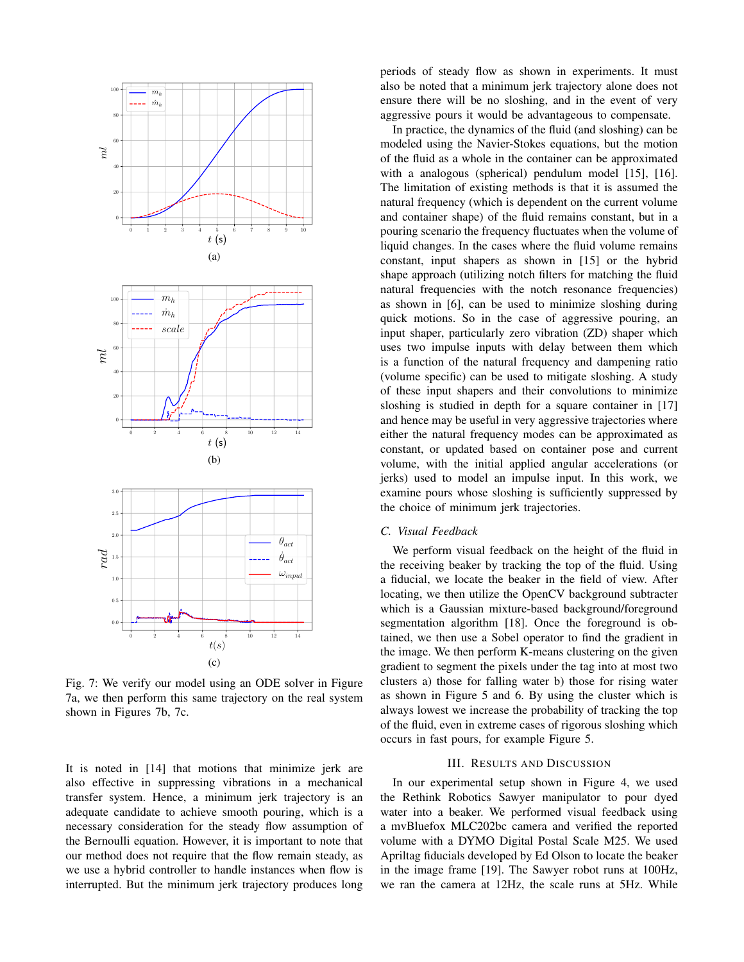

Fig. 7: We verify our model using an ODE solver in Figure 7a, we then perform this same trajectory on the real system shown in Figures 7b, 7c.

It is noted in [14] that motions that minimize jerk are also effective in suppressing vibrations in a mechanical transfer system. Hence, a minimum jerk trajectory is an adequate candidate to achieve smooth pouring, which is a necessary consideration for the steady flow assumption of the Bernoulli equation. However, it is important to note that our method does not require that the flow remain steady, as we use a hybrid controller to handle instances when flow is interrupted. But the minimum jerk trajectory produces long

periods of steady flow as shown in experiments. It must also be noted that a minimum jerk trajectory alone does not ensure there will be no sloshing, and in the event of very aggressive pours it would be advantageous to compensate.

In practice, the dynamics of the fluid (and sloshing) can be modeled using the Navier-Stokes equations, but the motion of the fluid as a whole in the container can be approximated with a analogous (spherical) pendulum model [15], [16]. The limitation of existing methods is that it is assumed the natural frequency (which is dependent on the current volume and container shape) of the fluid remains constant, but in a pouring scenario the frequency fluctuates when the volume of liquid changes. In the cases where the fluid volume remains constant, input shapers as shown in [15] or the hybrid shape approach (utilizing notch filters for matching the fluid natural frequencies with the notch resonance frequencies) as shown in [6], can be used to minimize sloshing during quick motions. So in the case of aggressive pouring, an input shaper, particularly zero vibration (ZD) shaper which uses two impulse inputs with delay between them which is a function of the natural frequency and dampening ratio (volume specific) can be used to mitigate sloshing. A study of these input shapers and their convolutions to minimize sloshing is studied in depth for a square container in [17] and hence may be useful in very aggressive trajectories where either the natural frequency modes can be approximated as constant, or updated based on container pose and current volume, with the initial applied angular accelerations (or jerks) used to model an impulse input. In this work, we examine pours whose sloshing is sufficiently suppressed by the choice of minimum jerk trajectories.

#### C. Visual Feedback

We perform visual feedback on the height of the fluid in the receiving beaker by tracking the top of the fluid. Using a fiducial, we locate the beaker in the field of view. After locating, we then utilize the OpenCV background subtracter which is a Gaussian mixture-based background/foreground segmentation algorithm [18]. Once the foreground is obtained, we then use a Sobel operator to find the gradient in the image. We then perform K-means clustering on the given gradient to segment the pixels under the tag into at most two clusters a) those for falling water b) those for rising water as shown in Figure 5 and 6. By using the cluster which is always lowest we increase the probability of tracking the top of the fluid, even in extreme cases of rigorous sloshing which occurs in fast pours, for example Figure 5.

### **III. RESULTS AND DISCUSSION**

In our experimental setup shown in Figure 4, we used the Rethink Robotics Sawyer manipulator to pour dyed water into a beaker. We performed visual feedback using a mvBluefox MLC202bc camera and verified the reported volume with a DYMO Digital Postal Scale M25. We used Apriltag fiducials developed by Ed Olson to locate the beaker in the image frame [19]. The Sawyer robot runs at 100Hz, we ran the camera at 12Hz, the scale runs at 5Hz. While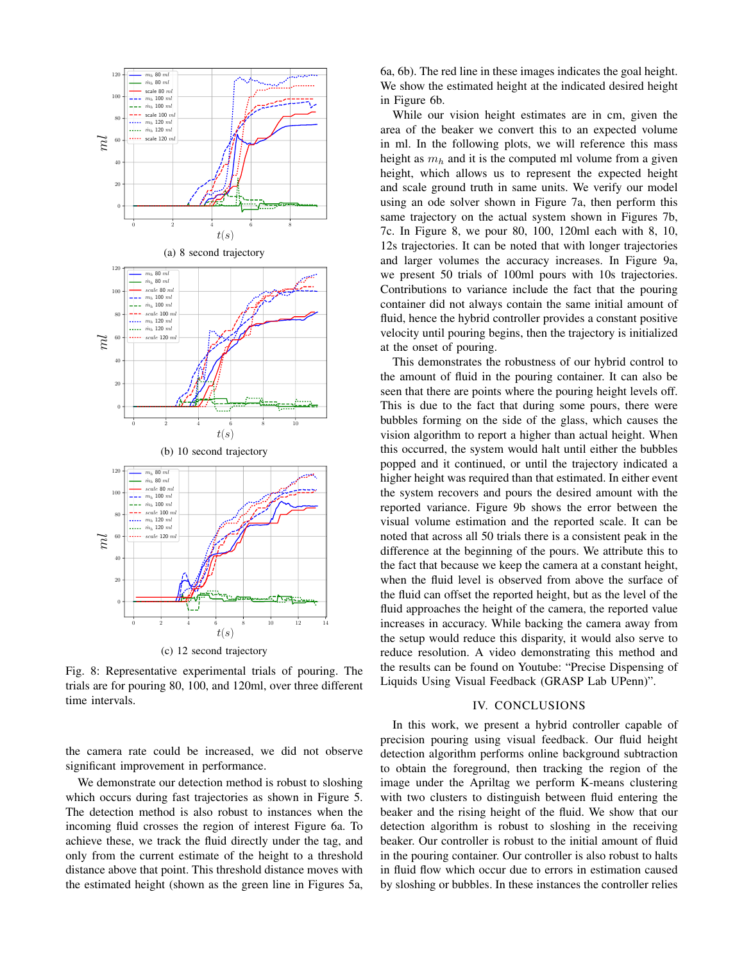

Fig. 8: Representative experimental trials of pouring. The trials are for pouring 80, 100, and 120ml, over three different time intervals.

the camera rate could be increased, we did not observe significant improvement in performance.

We demonstrate our detection method is robust to sloshing which occurs during fast trajectories as shown in Figure 5. The detection method is also robust to instances when the incoming fluid crosses the region of interest Figure 6a. To achieve these, we track the fluid directly under the tag, and only from the current estimate of the height to a threshold distance above that point. This threshold distance moves with the estimated height (shown as the green line in Figures 5a,

6a, 6b). The red line in these images indicates the goal height. We show the estimated height at the indicated desired height in Figure 6b.

While our vision height estimates are in cm, given the area of the beaker we convert this to an expected volume in ml. In the following plots, we will reference this mass height as  $m_h$  and it is the computed ml volume from a given height, which allows us to represent the expected height and scale ground truth in same units. We verify our model using an ode solver shown in Figure 7a, then perform this same trajectory on the actual system shown in Figures 7b, 7c. In Figure 8, we pour 80, 100, 120ml each with 8, 10, 12s trajectories. It can be noted that with longer trajectories and larger volumes the accuracy increases. In Figure 9a, we present 50 trials of 100ml pours with 10s trajectories. Contributions to variance include the fact that the pouring container did not always contain the same initial amount of fluid, hence the hybrid controller provides a constant positive velocity until pouring begins, then the trajectory is initialized at the onset of pouring.

This demonstrates the robustness of our hybrid control to the amount of fluid in the pouring container. It can also be seen that there are points where the pouring height levels off. This is due to the fact that during some pours, there were bubbles forming on the side of the glass, which causes the vision algorithm to report a higher than actual height. When this occurred, the system would halt until either the bubbles popped and it continued, or until the trajectory indicated a higher height was required than that estimated. In either event the system recovers and pours the desired amount with the reported variance. Figure 9b shows the error between the visual volume estimation and the reported scale. It can be noted that across all 50 trials there is a consistent peak in the difference at the beginning of the pours. We attribute this to the fact that because we keep the camera at a constant height, when the fluid level is observed from above the surface of the fluid can offset the reported height, but as the level of the fluid approaches the height of the camera, the reported value increases in accuracy. While backing the camera away from the setup would reduce this disparity, it would also serve to reduce resolution. A video demonstrating this method and the results can be found on Youtube: "Precise Dispensing of Liquids Using Visual Feedback (GRASP Lab UPenn)".

## IV. CONCLUSIONS

In this work, we present a hybrid controller capable of precision pouring using visual feedback. Our fluid height detection algorithm performs online background subtraction to obtain the foreground, then tracking the region of the image under the Apriltag we perform K-means clustering with two clusters to distinguish between fluid entering the beaker and the rising height of the fluid. We show that our detection algorithm is robust to sloshing in the receiving beaker. Our controller is robust to the initial amount of fluid in the pouring container. Our controller is also robust to halts in fluid flow which occur due to errors in estimation caused by sloshing or bubbles. In these instances the controller relies